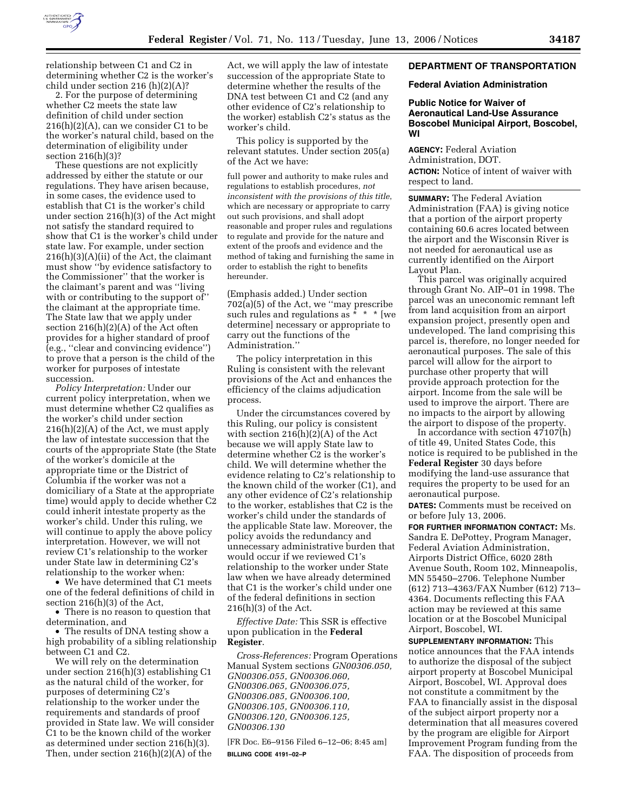

relationship between C1 and C2 in determining whether C2 is the worker's child under section 216 (h)(2)(A)?

2. For the purpose of determining whether C2 meets the state law definition of child under section 216(h)(2)(A), can we consider C1 to be the worker's natural child, based on the determination of eligibility under section 216(h)(3)?

These questions are not explicitly addressed by either the statute or our regulations. They have arisen because, in some cases, the evidence used to establish that C1 is the worker's child under section 216(h)(3) of the Act might not satisfy the standard required to show that C1 is the worker's child under state law. For example, under section 216(h)(3)(A)(ii) of the Act, the claimant must show ''by evidence satisfactory to the Commissioner'' that the worker is the claimant's parent and was ''living with or contributing to the support of the claimant at the appropriate time. The State law that we apply under section 216(h)(2)(A) of the Act often provides for a higher standard of proof (e.g., ''clear and convincing evidence'') to prove that a person is the child of the worker for purposes of intestate succession.

*Policy Interpretation:* Under our current policy interpretation, when we must determine whether C2 qualifies as the worker's child under section  $216(h)(2)(A)$  of the Act, we must apply the law of intestate succession that the courts of the appropriate State (the State of the worker's domicile at the appropriate time or the District of Columbia if the worker was not a domiciliary of a State at the appropriate time) would apply to decide whether C2 could inherit intestate property as the worker's child. Under this ruling, we will continue to apply the above policy interpretation. However, we will not review C1's relationship to the worker under State law in determining C2's relationship to the worker when:

• We have determined that C1 meets one of the federal definitions of child in section 216(h)(3) of the Act,

• There is no reason to question that determination, and

• The results of DNA testing show a high probability of a sibling relationship between C1 and C2.

We will rely on the determination under section 216(h)(3) establishing C1 as the natural child of the worker, for purposes of determining C2's relationship to the worker under the requirements and standards of proof provided in State law. We will consider C1 to be the known child of the worker as determined under section 216(h)(3). Then, under section 216(h)(2)(A) of the

Act, we will apply the law of intestate succession of the appropriate State to determine whether the results of the DNA test between C1 and C2 (and any other evidence of C2's relationship to the worker) establish C2's status as the worker's child.

This policy is supported by the relevant statutes. Under section 205(a) of the Act we have:

full power and authority to make rules and regulations to establish procedures, *not inconsistent with the provisions of this title*, which are necessary or appropriate to carry out such provisions, and shall adopt reasonable and proper rules and regulations to regulate and provide for the nature and extent of the proofs and evidence and the method of taking and furnishing the same in order to establish the right to benefits hereunder.

(Emphasis added.) Under section 702(a)(5) of the Act, we ''may prescribe such rules and regulations as \* \* \* [we determine] necessary or appropriate to carry out the functions of the Administration.''

The policy interpretation in this Ruling is consistent with the relevant provisions of the Act and enhances the efficiency of the claims adjudication process.

Under the circumstances covered by this Ruling, our policy is consistent with section 216(h)(2)(A) of the Act because we will apply State law to determine whether C2 is the worker's child. We will determine whether the evidence relating to C2's relationship to the known child of the worker (C1), and any other evidence of C2's relationship to the worker, establishes that C2 is the worker's child under the standards of the applicable State law. Moreover, the policy avoids the redundancy and unnecessary administrative burden that would occur if we reviewed C1's relationship to the worker under State law when we have already determined that C1 is the worker's child under one of the federal definitions in section 216(h)(3) of the Act.

*Effective Date:* This SSR is effective upon publication in the **Federal Register**.

*Cross-References:* Program Operations Manual System sections *GN00306.050, GN00306.055, GN00306.060, GN00306.065, GN00306.075, GN00306.085, GN00306.100, GN00306.105, GN00306.110, GN00306.120, GN00306.125, GN00306.130* 

[FR Doc. E6–9156 Filed 6–12–06; 8:45 am] **BILLING CODE 4191–02–P** 

# **DEPARTMENT OF TRANSPORTATION**

### **Federal Aviation Administration**

## **Public Notice for Waiver of Aeronautical Land-Use Assurance Boscobel Municipal Airport, Boscobel, WI**

**AGENCY:** Federal Aviation Administration, DOT. **ACTION:** Notice of intent of waiver with respect to land.

**SUMMARY:** The Federal Aviation Administration (FAA) is giving notice that a portion of the airport property containing 60.6 acres located between the airport and the Wisconsin River is not needed for aeronautical use as currently identified on the Airport Layout Plan.

This parcel was originally acquired through Grant No. AIP–01 in 1998. The parcel was an uneconomic remnant left from land acquisition from an airport expansion project, presently open and undeveloped. The land comprising this parcel is, therefore, no longer needed for aeronautical purposes. The sale of this parcel will allow for the airport to purchase other property that will provide approach protection for the airport. Income from the sale will be used to improve the airport. There are no impacts to the airport by allowing the airport to dispose of the property.

In accordance with section  $47107(h)$ of title 49, United States Code, this notice is required to be published in the **Federal Register** 30 days before modifying the land-use assurance that requires the property to be used for an aeronautical purpose.

**DATES:** Comments must be received on or before July 13, 2006.

**FOR FURTHER INFORMATION CONTACT:** Ms. Sandra E. DePottey, Program Manager, Federal Aviation Administration, Airports District Office, 6020 28th Avenue South, Room 102, Minneapolis, MN 55450–2706. Telephone Number (612) 713–4363/FAX Number (612) 713– 4364. Documents reflecting this FAA action may be reviewed at this same location or at the Boscobel Municipal Airport, Boscobel, WI.

**SUPPLEMENTARY INFORMATION:** This notice announces that the FAA intends to authorize the disposal of the subject airport property at Boscobel Municipal Airport, Boscobel, WI. Approval does not constitute a commitment by the FAA to financially assist in the disposal of the subject airport property nor a determination that all measures covered by the program are eligible for Airport Improvement Program funding from the FAA. The disposition of proceeds from